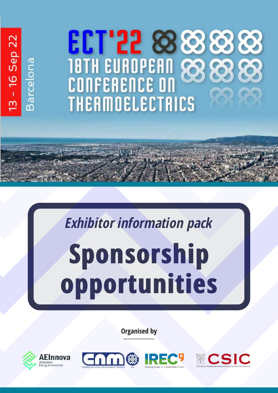# 13 - 16 Sep 22 **18TH EUROPEAN 88 Barcelona THERMOELECTRICS**

# **Sponsorship opportunities** *Exhibitor information pack*

**Organised by**







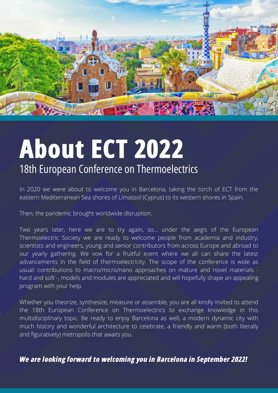

### **About ECT 2022** 18th European Conference on Thermoelectrics

In 2020 we were about to welcome you in Barcelona, taking the torch of ECT from the eastern Mediterranean Sea shores of Limassol (Cyprus) to its western shores in Spain.

Then, the pandemic brought worldwide disruption.

Two years later, here we are to try again, so… under the aegis of the European Thermoelectric Society we are ready to welcome people from academia and industry, scientists and engineers, young and senior contributors from across Europe and abroad to our yearly gathering. We vow for a fruitful event where we all can share the latest advancements in the field of thermoelectricity. The scope of the conference is wide as usual: contributions to macro/micro/nano approaches on mature and novel materials hard and soft -, models and modules are appreciated and will hopefully shape an appealing program with your help.

Whether you theorize, synthesize, measure or assemble, you are all kindly invited to attend the 18th European Conference on Thermoelectrics to exchange knowledge in this multidisciplinary topic. Be ready to enjoy Barcelona as well, a modern dynamic city with much history and wonderful architecture to celebrate, a friendly and warm (both literally and figuratively) metropolis that awaits you.

*We are looking forward to welcoming you in Barcelona in September 2022!*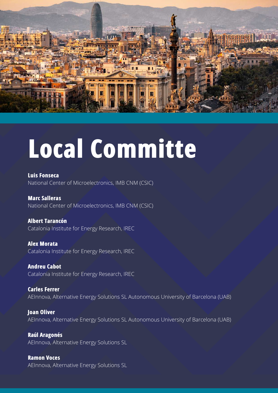

# **Local Committe**

**Luis Fonseca** National Center of Microelectronics, IMB CNM (CSIC)

**Marc Salleras** National Center of Microelectronics, IMB CNM (CSIC)

#### **Albert Tarancón**

Catalonia Institute for Energy Research, IREC

**Alex Morata** Catalonia Institute for Energy Research, IREC

**Andreu Cabot** Catalonia Institute for Energy Research, IREC

**Carles Ferrer** AEInnova, Alternative Energy Solutions SL Autonomous University of Barcelona (UAB)

**Joan Oliver** AEInnova, Alternative Energy Solutions SL Autonomous University of Barcelona (UAB)

**Raúl Aragonés** AEInnova, Alternative Energy Solutions SL

**Ramon Voces** AEInnova, Alternative Energy Solutions SL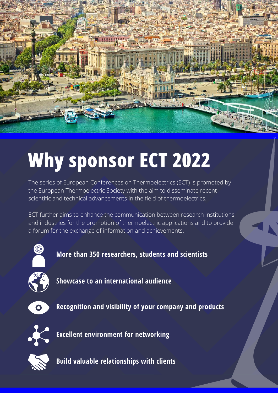

### **Why sponsor ECT 2022**

The series of European Conferences on Thermoelectrics (ECT) is promoted by the European Thermoelectric Society with the aim to disseminate recent scientific and technical advancements in the field of thermoelectrics.

ECT further aims to enhance the communication between research institutions and industries for the promotion of thermoelectric applications and to provide a forum for the exchange of information and achievements.



**More than 350 researchers, students and scientists**



**Showcase to an international audience**



**Recognition and visibility of your company and products**



**Excellent environment for networking**



**Build valuable relationships with clients**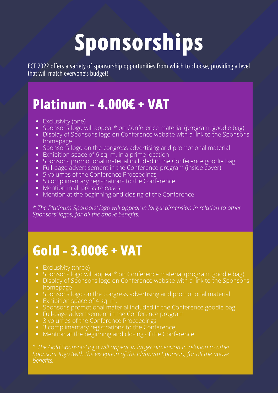## **Sponsorships**

ECT 2022 offers a variety of sponsorship opportunities from which to choose, providing a level that will match everyone's budget!

### **Platinum - 4.000€ + VAT**

- Exclusivity (one)
- Sponsor's logo will appear<sup>\*</sup> on Conference material (program, goodie bag)
- Display of Sponsor's logo on Conference website with a link to the Sponsor's homepage
- Sponsor's logo on the congress advertising and promotional material
- Exhibition space of 6 sq. m. in a prime location
- Sponsor's promotional material included in the Conference goodie bag
- Full-page advertisement in the Conference program (inside cover)
- 5 volumes of the Conference Proceedings
- 5 complimentary registrations to the Conference
- Mention in all press releases
- Mention at the beginning and closing of the Conference

*\* The Platinum Sponsors' logo will appear in larger dimension in relation to other Sponsors' logos, for all the above benefits.*

#### **Gold - 3.000€ + VAT**

- Exclusivity (three)
- Sponsor's logo will appear<sup>\*</sup> on Conference material (program, goodie bag)
- Display of Sponsor's logo on Conference website with a link to the Sponsor's homepage
- Sponsor's logo on the congress advertising and promotional material
- Exhibition space of 4 sq. m.
- Sponsor's promotional material included in the Conference goodie bag
- Full-page advertisement in the Conference program
- 3 volumes of the Conference Proceedings
- 3 complimentary registrations to the Conference
- Mention at the beginning and closing of the Conference

*\* The Gold Sponsors' logo will appear in larger dimension in relation to other Sponsors' logo (with the exception of the Platinum Sponsor), for all the above benefits.*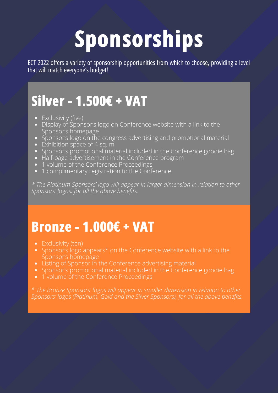## **Sponsorships**

ECT 2022 offers a variety of sponsorship opportunities from which to choose, providing a level that will match everyone's budget!

### **Silver - 1.500€ + VAT**

- Exclusivity (five)
- Display of Sponsor's logo on Conference website with a link to the Sponsor's homepage
- Sponsor's logo on the congress advertising and promotional material
- Exhibition space of 4 sq. m.
- Sponsor's promotional material included in the Conference goodie bag
- Half-page advertisement in the Conference program
- 1 volume of the Conference Proceedings
- 1 complimentary registration to the Conference

*\* The Platinum Sponsors' logo will appear in larger dimension in relation to other Sponsors' logos, for all the above benefits.*

### **Bronze - 1.000€ + VAT**

- Exclusivity (ten)
- Sponsor's logo appears\* on the Conference website with a link to the Sponsor's homepage
- Listing of Sponsor in the Conference advertising material
- Sponsor's promotional material included in the Conference goodie bag
- 1 volume of the Conference Proceedings

*\* The Bronze Sponsors' logos will appear in smaller dimension in relation to other Sponsors' logos (Platinum, Gold and the Silver Sponsors), for all the above benefits.*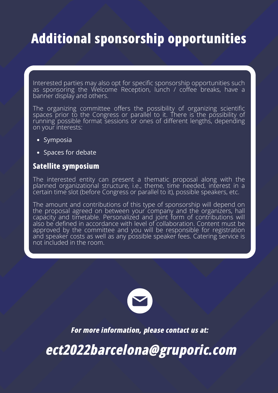### **Additional sponsorship opportunities**

Interested parties may also opt for specific sponsorship opportunities such as sponsoring the Welcome Reception, lunch / coffee breaks, have a banner display and others.

The organizing committee offers the possibility of organizing scientific spaces prior to the Congress or parallel to it. There is the possibility of running possible format sessions or ones of different lengths, depending on your interests:

- Symposia
- Spaces for debate

#### **Satellite symposium**

The interested entity can present a thematic proposal along with the planned organizational structure, i.e., theme, time needed, interest in a certain time slot (before Congress or parallel to it), possible speakers, etc.

The amount and contributions of this type of sponsorship will depend on the proposal agreed on between your company and the organizers, hall capacity and timetable. Personalized and joint form of contributions will also be defined in accordance with level of collaboration. Content must be approved by the committee and you will be responsible for registration and speaker costs as well as any possible speaker fees. Catering service is not included in the room.



*For more information, please contact us at:*

*[ect2022barcelona@gruporic.com](mailto:ect2022barcelona@gruporic.com)*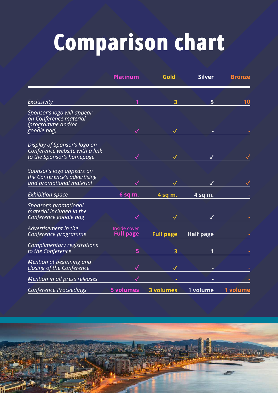# **Comparison chart**

|                                                                                             | <b>Platinum</b>                  | Gold             | <b>Silver</b>    | <b>Bronze</b> |
|---------------------------------------------------------------------------------------------|----------------------------------|------------------|------------------|---------------|
|                                                                                             |                                  |                  |                  |               |
| <b>Exclusivity</b>                                                                          | 1                                | 3                | 5                | 10            |
| Sponsor's logo will appear<br>on Conference material<br>(programme and/or<br>goodie bag)    |                                  |                  |                  |               |
|                                                                                             |                                  |                  |                  |               |
| Display of Sponsor's logo on<br>Conference website with a link<br>to the Sponsor's homepage |                                  |                  |                  |               |
| Sponsor's logo appears on<br>the Conference's advertising<br>and promotional material       |                                  |                  |                  |               |
| <b>Exhibition space</b>                                                                     | $6$ sq m.                        | 4 sq m.          | 4 sq m.          |               |
| Sponsor's promotional<br>material included in the<br>Conference goodie bag                  |                                  |                  |                  |               |
| Advertisement in the<br>Conference programme                                                | Inside cover<br><b>Full page</b> | <b>Full page</b> | <b>Half page</b> |               |
| Complimentary registrations<br>to the Conference                                            | 5                                | 3                |                  |               |
| Mention at beginning and<br>closing of the Conference                                       |                                  |                  |                  |               |
| Mention in all press releases                                                               | √                                |                  |                  |               |
| <b>Conference Proceedings</b>                                                               | <b>5 volumes</b>                 | <b>3 volumes</b> | 1 volume         | 1 volume      |

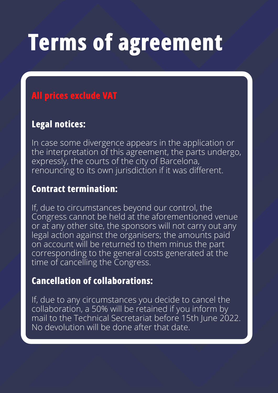## **Terms of agreement**

#### **All prices exclude VAT**

#### **Legal notices:**

In case some divergence appears in the application or the interpretation of this agreement, the parts undergo, expressly, the courts of the city of Barcelona, renouncing to its own jurisdiction if it was different.

#### **Contract termination:**

If, due to circumstances beyond our control, the Congress cannot be held at the aforementioned venue or at any other site, the sponsors will not carry out any legal action against the organisers; the amounts paid on account will be returned to them minus the part corresponding to the general costs generated at the time of cancelling the Congress.

#### **Cancellation of collaborations:**

If, due to any circumstances you decide to cancel the collaboration, a 50% will be retained if you inform by mail to the Technical Secretariat before 15th June 2022. No devolution will be done after that date.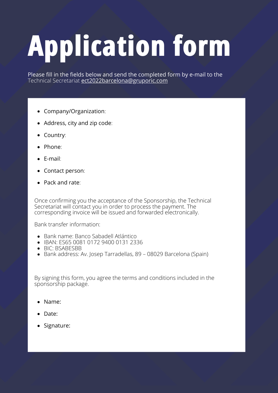# **Application form**

Please fill in the fields below and send the completed form by e-mail to the Technical Secretariat [ect2022barcelona@gruporic.com](mailto:ect2022barcelona@gruporic.com)

- Company/Organization:
- Address, city and zip code:
- Country:
- Phone:
- $\bullet$  F-mail:
- Contact person:
- Pack and rate:

Once confirming you the acceptance of the Sponsorship, the Technical Secretariat will contact you in order to process the payment. The corresponding invoice will be issued and forwarded electronically.

Bank transfer information:

- Bank name: Banco Sabadell Atlántico
- IBAN: ES65 0081 0172 9400 0131 2336
- BIC: BSABESBB
- Bank address: Av. Josep Tarradellas, 89 08029 Barcelona (Spain)

By signing this form, you agree the terms and conditions included in the sponsorship package.

- Name:
- Date:
- Signature: